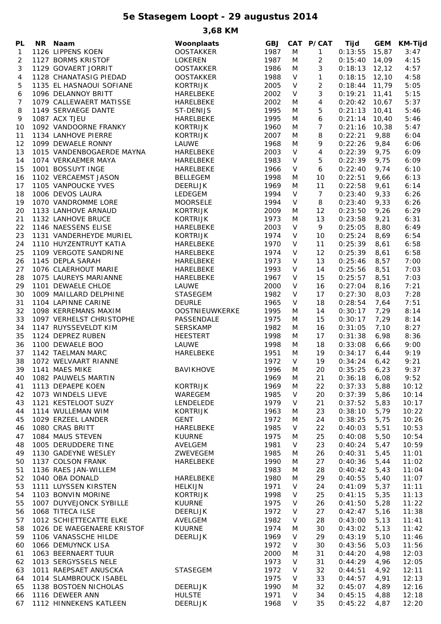### **5e Stasegem Loopt - 29 augustus 2014**

**3,68 KM**

| PL | NR Naam                    | Woonplaats       | <b>GBJ</b> |         | CAT P/CAT      | Tijd           | <b>GEM</b> | <b>KM-Tijd</b> |
|----|----------------------------|------------------|------------|---------|----------------|----------------|------------|----------------|
| 1  | 1126 LIPPENS KOEN          | <b>OOSTAKKER</b> | 1987       | M       | 1              | 0:13:55        | 15,87      | 3:47           |
| 2  | 1127 BORMS KRISTOF         | <b>LOKEREN</b>   | 1987       | M       | 2              | 0:15:40        | 14,09      | 4:15           |
| 3  | 1129 GOVAERT JORRIT        | <b>OOSTAKKER</b> | 1986       | M       | 3              | 0:18:13        | 12, 12     | 4:57           |
| 4  | 1128 CHANATASIG PIEDAD     | <b>OOSTAKKER</b> | 1988       | V       | $\mathbf{1}$   | 0:18:15        | 12,10      | 4:58           |
|    | 1135 EL HASNAOUI SOFIANE   | <b>KORTRIJK</b>  |            | $\vee$  | $\overline{c}$ | 0:18:44        |            |                |
| 5  |                            |                  | 2005       |         |                |                | 11,79      | 5:05           |
| 6  | 1096 DELANNOY BRITT        | HARELBEKE        | 2002       | $\vee$  | 3              | 0:19:21        | 11,41      | 5:15           |
| 7  | 1079 CALLEWAERT MATISSE    | HARELBEKE        | 2002       | M       | 4              | 0:20:42        | 10,67      | 5:37           |
| 8  | 1149 SERVAEGE DANTE        | ST-DENIJS        | 1995       | M       | 5              | 0:21:13        | 10,41      | 5:46           |
| 9  | 1087 ACX TJEU              | HARELBEKE        | 1995       | M       | 6              | 0:21:14        | 10,40      | 5:46           |
| 10 | 1092 VANDOORNE FRANKY      | <b>KORTRIJK</b>  | 1960       | M       | 7              | 0:21:16        | 10,38      | 5:47           |
| 11 | 1134 LANHOVE PIERRE        | <b>KORTRIJK</b>  | 2007       | M       | 8              | 0:22:21        | 9,88       | 6:04           |
| 12 | 1099 DEWAELE RONNY         | LAUWE            | 1968       | M       | 9              | 0:22:26        | 9,84       | 6:06           |
| 13 | 1015 VANDENBOGAERDE MAYNA  | <b>HARELBEKE</b> | 2003       | $\vee$  | 4              | 0:22:39        | 9,75       | 6:09           |
| 14 | 1074 VERKAEMER MAYA        | <b>HARELBEKE</b> | 1983       | $\vee$  | 5              | 0:22:39        | 9,75       | 6:09           |
| 15 | 1001 BOSSUYT INGE          | HARELBEKE        | 1966       | V       | 6              | 0:22:40        | 9,74       | 6:10           |
| 16 | 1102 VERCAEMST JASON       | <b>BELLEGEM</b>  | 1998       | M       | 10             | 0:22:51        | 9,66       | 6:13           |
| 17 | 1105 VANPOUCKE YVES        | <b>DEERLIJK</b>  | 1969       | M       | 11             | 0:22:58        | 9,61       | 6:14           |
| 18 | 1006 DEVOS LAURA           | LEDEGEM          | 1994       | V       | $\overline{7}$ | 0:23:40        | 9,33       | 6:26           |
| 19 | 1070 VANDROMME LORE        | <b>MOORSELE</b>  | 1994       | V       | 8              | 0:23:40        | 9,33       | 6:26           |
| 20 | 1133 LANHOVE ARNAUD        | <b>KORTRIJK</b>  | 2009       | M       | 12             | 0:23:50        | 9,26       | 6:29           |
| 21 | 1132 LANHOVE BRUCE         | <b>KORTRIJK</b>  | 1973       | M       | 13             | 0:23:58        | 9,21       | 6:31           |
| 22 | 1146 NAESSENS ELISE        | HARELBEKE        | 2003       | $\sf V$ | 9              | 0:25:05        | 8,80       | 6:49           |
| 23 | 1131 VANDERHEYDE MURIEL    | <b>KORTRIJK</b>  | 1974       | V       | 10             | 0:25:24        | 8,69       | 6:54           |
| 24 | 1110 HUYZENTRUYT KATIA     | HARELBEKE        | 1970       | V       | 11             | 0:25:39        | 8,61       | 6:58           |
| 25 | 1109 VERGOTE SANDRINE      | <b>HARELBEKE</b> | 1974       | V       | 12             | 0:25:39        | 8,61       | 6:58           |
| 26 | 1145 DEPLA SARAH           | HARELBEKE        | 1973       | V       | 13             | 0:25:46        | 8,57       | 7:00           |
| 27 | 1076 CLAERHOUT MARIE       | HARELBEKE        | 1993       | V       | 14             | 0:25:56        |            | 7:03           |
|    |                            |                  |            |         |                |                | 8,51       |                |
| 28 | 1075 LAUREYS MARIANNE      | <b>HARELBEKE</b> | 1967       | V       | 15             | 0:25:57        | 8,51       | 7:03           |
| 29 | 1101 DEWAELE CHLOE         | LAUWE            | 2000       | V       | 16             | 0:27:04        | 8,16       | 7:21           |
| 30 | 1009 MAILLARD DELPHINE     | <b>STASEGEM</b>  | 1982       | V       | 17             | 0:27:30        | 8,03       | 7:28           |
| 31 | 1104 LAPINNE CARINE        | <b>DEURLE</b>    | 1965       | V       | 18             | 0:28:54        | 7,64       | 7:51           |
| 32 | 1098 KERREMANS MAXIM       | OOSTNIEUWKERKE   | 1995       | M       | 14             | 0:30:17        | 7,29       | 8:14           |
| 33 | 1097 VERHELST CHRISTOPHE   | PASSENDALE       | 1975       | M       | 15             | 0:30:17        | 7,29       | 8:14           |
| 34 | 1147 RUYSSEVELDT KIM       | <b>SERSKAMP</b>  | 1982       | M       | 16             | 0:31:05        | 7,10       | 8:27           |
| 35 | 1124 DEPREZ RUBEN          | <b>HEESTERT</b>  | 1998       | M       | 17             | 0:31:38        | 6,98       | 8:36           |
| 36 | 1100 DEWAELE BOO           | LAUWE            | 1998       | M       | 18             | 0:33:08        | 6,66       | 9:00           |
| 37 | 1142 TAELMAN MARC          | HARELBEKE        | 1951       | M       | 19             | 0:34:17        | 6,44       | 9:19           |
| 38 | 1072 WELVAART RIANNE       |                  | 1972       | $\vee$  | 19             | 0:34:24        | 6,42       | 9:21           |
| 39 | 1141 MAES MIKE             | BAVIKHOVE        | 1996       | M       | 20             | $0:35:25$ 6,23 |            | 9:37           |
| 40 | 1082 PAUWELS MARTIN        |                  | 1969       | M       | 21             | 0:36:18        | 6,08       | 9:52           |
| 41 | 1113 DEPAEPE KOEN          | <b>KORTRIJK</b>  | 1969       | M       | 22             | 0:37:33        | 5,88       | 10:12          |
| 42 | 1073 WINDELS LIEVE         | WAREGEM          | 1985       | V       | 20             | 0:37:39        | 5,86       | 10:14          |
| 43 | 1121 KESTELOOT SUZY        | LENDELEDE        | 1979       | V       | 21             | 0:37:52        | 5,83       | 10:17          |
| 44 | 1114 WULLEMAN WIM          | <b>KORTRIJK</b>  | 1963       | M       | 23             | 0:38:10        | 5,79       | 10:22          |
| 45 | 1029 ERZEEL LANDER         | <b>GENT</b>      | 1972       | M       | 24             | 0:38:25        | 5,75       | 10:26          |
| 46 | 1080 CRAS BRITT            | HARELBEKE        | 1985       | V       | 22             | 0:40:03        | 5,51       | 10:53          |
| 47 | 1084 MAUS STEVEN           | <b>KUURNE</b>    | 1975       | M       | 25             | 0:40:08        | 5,50       | 10:54          |
| 48 | 1005 DERUDDERE TINE        | AVELGEM          | 1981       | V       | 23             | 0:40:24        | 5,47       | 10:59          |
| 49 | 1130 GADEYNE WESLEY        | ZWEVEGEM         | 1985       | M       | 26             | 0:40:31        | 5,45       | 11:01          |
| 50 | 1137 COLSON FRANK          | HARELBEKE        | 1990       | M       | 27             | 0:40:36        | 5,44       | 11:02          |
| 51 | 1136 RAES JAN-WILLEM       |                  | 1983       | M       | 28             | 0:40:42        | 5,43       | 11:04          |
| 52 | 1040 OBA DONALD            | HARELBEKE        | 1980       | M       | 29             | 0:40:55        | 5,40       | 11:07          |
| 53 | 1111 LUYSSEN KIRSTEN       | <b>HELKIJN</b>   | 1971       | V       | 24             | 0:41:09        | 5,37       | 11:11          |
| 54 | 1103 BONVIN MORINE         | <b>KORTRIJK</b>  | 1998       | V       | 25             | 0:41:15        | 5,35       | 11:13          |
|    |                            |                  |            |         |                |                |            |                |
| 55 | 1007 DUYVEJONCK SYBILLE    | <b>KUURNE</b>    | 1975       | V       | 26             | 0:41:50        | 5,28       | 11:22          |
| 56 | 1068 TITECA ILSE           | <b>DEERLIJK</b>  | 1972       | $\vee$  | 27             | 0:42:47        | 5,16       | 11:38          |
| 57 | 1012 SCHIETTECATTE ELKE    | AVELGEM          | 1982       | $\vee$  | 28             | 0:43:00        | 5,13       | 11:41          |
| 58 | 1026 DE WAEGENAERE KRISTOF | <b>KUURNE</b>    | 1974       | M       | 30             | 0:43:02        | 5,13       | 11:42          |
| 59 | 1106 VANASSCHE HILDE       | <b>DEERLIJK</b>  | 1969       | V       | 29             | 0:43:19        | 5,10       | 11:46          |
| 60 | 1066 DEMUYNCK LISA         |                  | 1972       | V       | 30             | 0:43:56        | 5,03       | 11:56          |
| 61 | 1063 BEERNAERT TUUR        |                  | 2000       | M       | 31             | 0:44:20        | 4,98       | 12:03          |
| 62 | 1013 SERGYSSELS NELE       |                  | 1973       | V       | 31             | 0:44:29        | 4,96       | 12:05          |
| 63 | 1011 RAEPSAET ANUSCKA      | <b>STASEGEM</b>  | 1972       | V       | 32             | 0:44:51        | 4,92       | 12:11          |
| 64 | 1014 SLAMBROUCK ISABEL     |                  | 1975       | V       | 33             | 0:44:57        | 4,91       | 12:13          |
| 65 | 1138 BOSTOEN NICHOLAS      | DEERLIJK         | 1990       | M       | 32             | 0:45:07        | 4,89       | 12:16          |
| 66 | 1116 DEWEER ANN            | <b>HULSTE</b>    | 1971       | V       | 34             | 0:45:15        | 4,88       | 12:18          |
| 67 | 1112 HINNEKENS KATLEEN     | DEERLIJK         | 1968       | V       | 35             | 0:45:22        | 4,87       | 12:20          |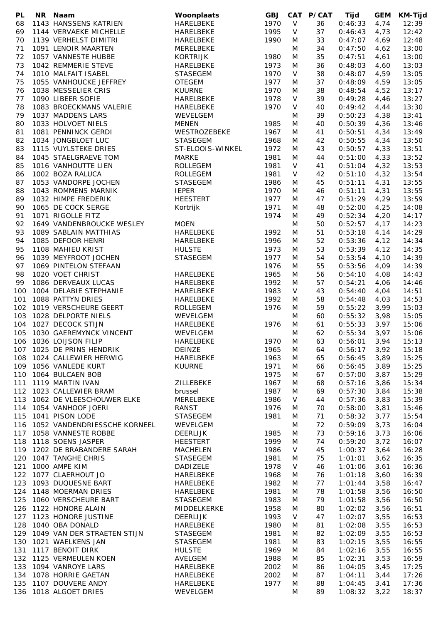| PL  | NR Naam                          | Woonplaats       | <b>GBJ</b> | <b>CAT</b> | <b>P/CAT</b> | Tijd    | <b>GEM</b> | <b>KM-Tijd</b> |
|-----|----------------------------------|------------------|------------|------------|--------------|---------|------------|----------------|
| 68  | 1143 HANSSENS KATRIEN            | HARELBEKE        | 1970       | V          | 36           | 0:46:33 | 4,74       | 12:39          |
| 69  | 1144 VERVAEKE MICHELLE           | HARELBEKE        | 1995       | V          | 37           | 0:46:43 | 4,73       | 12:42          |
| 70  | 1139 VERHELST DIMITRI            | <b>HARELBEKE</b> | 1990       | M          | 33           | 0:47:07 | 4,69       | 12:48          |
| 71  | 1091 LENOIR MAARTEN              | MERELBEKE        |            | M          | 34           | 0:47:50 | 4,62       | 13:00          |
| 72  | 1057 VANNESTE HUBBE              | <b>KORTRIJK</b>  | 1980       | M          | 35           | 0:47:51 | 4,61       | 13:00          |
| 73  | 1042 REMMERIE STEVE              | HARELBEKE        | 1973       | M          | 36           | 0:48:03 | 4,60       | 13:03          |
| 74  | 1010 MALFAIT ISABEL              | <b>STASEGEM</b>  | 1970       | V          | 38           | 0:48:07 | 4,59       | 13:05          |
| 75  | 1055 VANHOUCKE JEFFREY           | <b>OTEGEM</b>    | 1977       | M          | 37           | 0:48:09 | 4,59       | 13:05          |
| 76  | 1038 MESSELIER CRIS              | <b>KUURNE</b>    | 1970       | M          | 38           | 0:48:54 | 4,52       | 13:17          |
| 77  | 1090 LIBEER SOFIE                | HARELBEKE        | 1978       | V          | 39           | 0:49:28 | 4,46       | 13:27          |
| 78  | 1083 BROECKMANS VALERIE          | HARELBEKE        | 1970       | V          | 40           | 0:49:42 | 4,44       | 13:30          |
| 79  | 1037 MADDENS LARS                | WEVELGEM         |            | M          | 39           | 0:50:23 | 4,38       | 13:41          |
| 80  | 1033 HOLVOET NIELS               | <b>MENEN</b>     | 1985       | M          | 40           | 0:50:39 | 4,36       | 13:46          |
| 81  | 1081 PENNINCK GERDI              | WESTROZEBEKE     | 1967       | M          | 41           | 0:50:51 | 4,34       | 13:49          |
| 82  | 1034 JONGBLOET LUC               | <b>STASEGEM</b>  | 1968       | M          | 42           | 0:50:55 | 4,34       | 13:50          |
| 83  | 1115 VUYLSTEKE DRIES             | ST-ELOOIS-WINKEL | 1972       | M          | 43           | 0:50:57 | 4,33       | 13:51          |
| 84  | 1045 STAELGRAEVE TOM             | <b>MARKE</b>     | 1981       | M          | 44           | 0:51:00 | 4,33       | 13:52          |
| 85  | 1016 VANHOUTTE LIEN              | ROLLEGEM         | 1981       | V          | 41           | 0:51:04 | 4,32       | 13:53          |
| 86  | 1002 BOZA RALUCA                 | ROLLEGEM         | 1981       | V          | 42           | 0:51:10 | 4,32       | 13:54          |
| 87  | 1053 VANDORPE JOCHEN             | <b>STASEGEM</b>  | 1986       | M          | 45           | 0:51:11 | 4,31       | 13:55          |
| 88  | 1043 ROMMENS MARNIK              | <b>IEPER</b>     | 1970       | M          | 46           | 0:51:11 | 4,31       | 13:55          |
| 89  | 1032 HIMPE FREDERIK              | <b>HEESTERT</b>  | 1977       | M          | 47           | 0:51:29 | 4,29       | 13:59          |
| 90  | 1065 DE COCK SERGE               | Kortrijk         | 1971       | M          | 48           | 0:52:00 | 4,25       | 14:08          |
| 91  | 1071 RIGOLLE FITZ                |                  | 1974       | M          | 49           | 0:52:34 | 4,20       | 14:17          |
| 92  | 1649 VANDENBROUCKE WESLEY        | <b>MOEN</b>      |            | M          | 50           | 0:52:57 | 4,17       | 14:23          |
| 93  | 1089 SABLAIN MATTHIAS            | HARELBEKE        | 1992       | M          | 51           | 0:53:18 | 4,14       | 14:29          |
| 94  | 1085 DEFOOR HENRI                | HARELBEKE        | 1996       | M          | 52           | 0:53:36 | 4,12       | 14:34          |
| 95  | 1108 MAHIEU KRIST                | <b>HULSTE</b>    | 1973       | M          | 53           | 0:53:39 | 4,12       | 14:35          |
| 96  | 1039 MEYFROOT JOCHEN             | <b>STASEGEM</b>  | 1977       | M          | 54           | 0:53:54 | 4,10       | 14:39          |
| 97  | 1069 PINTELON STEFAAN            |                  | 1976       | M          | 55           | 0:53:56 | 4,09       | 14:39          |
| 98  | 1020 VOET CHRIST                 | HARELBEKE        | 1965       | M          | 56           | 0:54:10 | 4,08       | 14:43          |
| 99  | 1086 DERVEAUX LUCAS              | HARELBEKE        | 1992       | M          | 57           | 0:54:21 | 4,06       | 14:46          |
| 100 | 1004 DELABIE STEPHANIE           | HARELBEKE        | 1983       | $\vee$     | 43           | 0:54:40 | 4,04       | 14:51          |
| 101 | 1088 PATTYN DRIES                | HARELBEKE        | 1992       | M          | 58           | 0:54:48 | 4,03       | 14:53          |
| 102 | 1019 VERSCHEURE GEERT            | ROLLEGEM         | 1976       | M          | 59           | 0:55:22 | 3,99       | 15:03          |
| 103 | 1028 DELPORTE NIELS              | WEVELGEM         |            | M          | 60           | 0:55:32 | 3,98       | 15:05          |
| 104 | 1027 DECOCK STIJN                | HARELBEKE        | 1976       | M          | 61           | 0:55:33 | 3,97       | 15:06          |
| 105 | 1030 GAEREMYNCK VINCENT          | WEVELGEM         |            | M          | 62           | 0:55:34 | 3,97       | 15:06          |
| 106 | 1036 LOIJSON FILIP               | HARELBEKE        | 1970       | M          | 63           | 0:56:01 | 3,94       | 15:13          |
|     | 107 1025 DE PRINS HENDRIK        | DEINZE           | 1965       | M          | 64           | 0:56:17 | 3,92       | 15:18          |
|     | 108 1024 CALLEWIER HERWIG        | HARELBEKE        | 1963       | M          | 65           | 0:56:45 | 3,89       | 15:25          |
|     | 109 1056 VANLEDE KURT            | <b>KUURNE</b>    | 1971       | M          | 66           | 0:56:45 | 3,89       | 15:25          |
|     | 110 1064 BULCAEN BOB             |                  | 1975       | M          | 67           | 0:57:00 | 3,87       | 15:29          |
|     | 111 1119 MARTIN IVAN             | ZILLEBEKE        | 1967       | M          | 68           | 0:57:16 | 3,86       | 15:34          |
|     | 112 1023 CALLEWIER BRAM          | brussel          | 1987       | M          | 69           | 0:57:30 | 3,84       | 15:38          |
|     | 113 1062 DE VLEESCHOUWER ELKE    | MERELBEKE        | 1986       | V          | 44           | 0:57:36 | 3,83       | 15:39          |
|     | 114 1054 VANHOOF JOERI           | RANST            | 1976       | M          | 70           | 0:58:00 | 3,81       | 15:46          |
|     | 115 1041 PISON LODE              | <b>STASEGEM</b>  | 1981       | M          | 71           | 0:58:32 | 3,77       | 15:54          |
|     | 116 1052 VANDENDRIESSCHE KORNEEL | WEVELGEM         |            | M          | 72           | 0:59:09 | 3,73       | 16:04          |
|     | 117 1058 VANNESTE ROBBE          | DEERLIJK         | 1985       | M          | 73           | 0:59:16 | 3,73       | 16:06          |
|     | 118 1118 SOENS JASPER            | <b>HEESTERT</b>  | 1999       | M          | 74           | 0:59:20 | 3,72       | 16:07          |
|     | 119 1202 DE BRABANDERE SARAH     | <b>MACHELEN</b>  | 1986       | V          | 45           | 1:00:37 | 3,64       | 16:28          |
|     | 120 1047 TANGHE CHRIS            | STASEGEM         | 1981       | M          | 75           | 1:01:01 | 3,62       | 16:35          |
| 121 | 1000 AMPE KIM                    | <b>DADIZELE</b>  | 1978       | $\vee$     | 46           | 1:01:06 | 3,61       | 16:36          |
|     | 122 1077 CLAERHOUT JO            | HARELBEKE        | 1968       | M          | 76           | 1:01:18 | 3,60       | 16:39          |
|     | 123 1093 DUQUESNE BART           | HARELBEKE        | 1982       | M          | 77           | 1:01:44 | 3,58       | 16:47          |
|     | 124 1148 MOERMAN DRIES           | HARELBEKE        | 1981       | M          | 78           | 1:01:58 | 3,56       | 16:50          |
|     | 125 1060 VERSCHEURE BART         | <b>STASEGEM</b>  | 1983       | M          | 79           | 1:01:58 | 3,56       | 16:50          |
|     | 126 1122 HONORE ALAIN            | MIDDELKERKE      | 1958       | M          | 80           | 1:02:02 | 3,56       | 16:51          |
|     | 127 1123 HONORE JUSTINE          | <b>DEERLIJK</b>  | 1993       | V          | 47           |         |            | 16:53          |
|     | 128 1040 OBA DONALD              |                  | 1980       |            |              | 1:02:07 | 3,55       | 16:53          |
|     | 129 1049 VAN DER STRAETEN STIJN  | HARELBEKE        |            | M          | 81           | 1:02:08 | 3,55       |                |
|     | 130 1021 WAELKENS JAN            | <b>STASEGEM</b>  | 1981       | M          | 82<br>83     | 1:02:09 | 3,55       | 16:53<br>16:55 |
|     |                                  | <b>STASEGEM</b>  | 1981       | M          |              | 1:02:15 | 3,55       |                |
| 131 | 1117 BENOIT DIRK                 | <b>HULSTE</b>    | 1969       | M          | 84           | 1:02:16 | 3,55       | 16:55          |
|     | 132 1125 VERMEULEN KOEN          | AVELGEM          | 1988       | M          | 85           | 1:02:31 | 3,53       | 16:59          |
|     | 133 1094 VANROYE LARS            | HARELBEKE        | 2002       | M          | 86           | 1:04:05 | 3,45       | 17:25          |
|     | 134 1078 HORRIE GAETAN           | HARELBEKE        | 2002       | M          | 87           | 1:04:11 | 3,44       | 17:26          |
|     | 135 1107 DOUVERE ANDY            | HARELBEKE        | 1977       | M          | 88           | 1:04:45 | 3,41       | 17:36          |
|     | 136 1018 ALGOET DRIES            | WEVELGEM         |            | M          | 89           | 1:08:32 | 3,22       | 18:37          |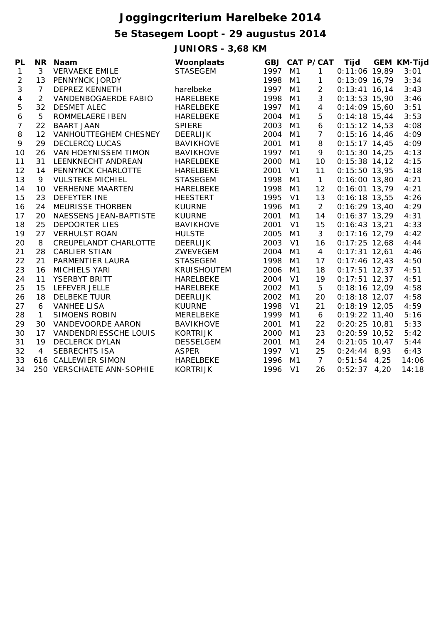## **Joggingcriterium Harelbeke 2014**

# **5e Stasegem Loopt - 29 augustus 2014**

**JUNIORS - 3,68 KM**

| PI – |              | NR Naam         |
|------|--------------|-----------------|
|      | $\mathbf{3}$ | <b>VERVAFKF</b> |

| PL           | <b>NR</b>      | Naam                         | Woonplaats         |      |                | <b>GBJ CAT P/CAT</b> | Tijd            | <b>GEM KM-Tijd</b> |
|--------------|----------------|------------------------------|--------------------|------|----------------|----------------------|-----------------|--------------------|
| $\mathbf{1}$ | 3              | <b>VERVAEKE EMILE</b>        | <b>STASEGEM</b>    | 1997 | M <sub>1</sub> | 1                    | $0:11:06$ 19,89 | 3:01               |
| 2            | 13             | PENNYNCK JORDY               |                    | 1998 | M1             | 1                    | $0:13:09$ 16,79 | 3:34               |
| 3            | $\overline{7}$ | <b>DEPREZ KENNETH</b>        | harelbeke          | 1997 | M1             | $\overline{2}$       | $0:13:41$ 16,14 | 3:43               |
| 4            | $\overline{2}$ | VANDENBOGAERDE FABIO         | <b>HARELBEKE</b>   | 1998 | M <sub>1</sub> | 3                    | $0:13:53$ 15,90 | 3:46               |
| 5            | 32             | <b>DESMET ALEC</b>           | <b>HARELBEKE</b>   | 1997 | M1             | $\overline{4}$       | $0:14:09$ 15,60 | 3:51               |
| 6            | 5              | ROMMELAERE IBEN              | <b>HARELBEKE</b>   | 2004 | M <sub>1</sub> | 5                    | $0:14:18$ 15,44 | 3:53               |
| 7            | 22             | <b>BAART JAAN</b>            | <b>SPIERE</b>      | 2003 | M1             | 6                    | $0:15:12$ 14,53 | 4:08               |
| 8            | 12             | <b>VANHOUTTEGHEM CHESNEY</b> | <b>DEERLIJK</b>    | 2004 | M1             | $\overline{7}$       | $0:15:16$ 14,46 | 4:09               |
| 9            | 29             | <b>DECLERCQ LUCAS</b>        | <b>BAVIKHOVE</b>   | 2001 | M1             | 8                    | $0:15:17$ 14,45 | 4:09               |
| 10           | 26             | VAN HOEYNISSEM TIMON         | <b>BAVIKHOVE</b>   | 1997 | M <sub>1</sub> | 9                    | $0:15:30$ 14,25 | 4:13               |
| 11           | 31             | LEENKNECHT ANDREAN           | <b>HARELBEKE</b>   | 2000 | M1             | 10                   | $0:15:38$ 14,12 | 4:15               |
| 12           | 14             | PENNYNCK CHARLOTTE           | <b>HARELBEKE</b>   | 2001 | V <sub>1</sub> | 11                   | $0:15:50$ 13,95 | 4:18               |
| 13           | 9              | <b>VULSTEKE MICHIEL</b>      | <b>STASEGEM</b>    | 1998 | M1             | $\mathbf{1}$         | $0:16:00$ 13,80 | 4:21               |
| 14           | 10             | <b>VERHENNE MAARTEN</b>      | <b>HARELBEKE</b>   | 1998 | M <sub>1</sub> | 12                   | $0:16:01$ 13,79 | 4:21               |
| 15           | 23             | <b>DEFEYTER INE</b>          | <b>HEESTERT</b>    | 1995 | V <sub>1</sub> | 13                   | $0:16:18$ 13,55 | 4:26               |
| 16           | 24             | <b>MEURISSE THORBEN</b>      | <b>KUURNE</b>      | 1996 | M1             | $\overline{2}$       | $0:16:29$ 13,40 | 4:29               |
| 17           | 20             | NAESSENS JEAN-BAPTISTE       | <b>KUURNE</b>      | 2001 | M <sub>1</sub> | 14                   | $0:16:37$ 13,29 | 4:31               |
| 18           | 25             | <b>DEPOORTER LIES</b>        | <b>BAVIKHOVE</b>   | 2001 | V <sub>1</sub> | 15                   | $0:16:43$ 13,21 | 4:33               |
| 19           | 27             | <b>VERHULST ROAN</b>         | <b>HULSTE</b>      | 2005 | M1             | 3                    | $0:17:16$ 12,79 | 4:42               |
| 20           | 8              | CREUPELANDT CHARLOTTE        | <b>DEERLIJK</b>    | 2003 | V <sub>1</sub> | 16                   | $0:17:25$ 12,68 | 4:44               |
| 21           | 28             | <b>CARLIER STIAN</b>         | ZWEVEGEM           | 2004 | M <sub>1</sub> | $\overline{4}$       | $0:17:31$ 12,61 | 4:46               |
| 22           | 21             | PARMENTIER LAURA             | <b>STASEGEM</b>    | 1998 | M <sub>1</sub> | 17                   | $0:17:46$ 12,43 | 4:50               |
| 23           | 16             | <b>MICHIELS YARI</b>         | <b>KRUISHOUTEM</b> | 2006 | M1             | 18                   | $0:17:51$ 12,37 | 4:51               |
| 24           | 11             | YSERBYT BRITT                | <b>HARELBEKE</b>   | 2004 | V <sub>1</sub> | 19                   | $0:17:51$ 12,37 | 4:51               |
| 25           | 15             | LEFEVER JELLE                | <b>HARELBEKE</b>   | 2002 | M <sub>1</sub> | 5                    | $0:18:16$ 12,09 | 4:58               |
| 26           | 18             | <b>DELBEKE TUUR</b>          | <b>DEERLIJK</b>    | 2002 | M1             | 20                   | $0:18:18$ 12,07 | 4:58               |
| 27           | 6              | <b>VANHEE LISA</b>           | <b>KUURNE</b>      | 1998 | V <sub>1</sub> | 21                   | $0:18:19$ 12,05 | 4:59               |
| 28           | $\mathbf{1}$   | <b>SIMOENS ROBIN</b>         | <b>MERELBEKE</b>   | 1999 | M1             | 6                    | $0:19:22$ 11,40 | 5:16               |
| 29           | 30             | <b>VANDEVOORDE AARON</b>     | <b>BAVIKHOVE</b>   | 2001 | M <sub>1</sub> | 22                   | $0:20:25$ 10,81 | 5:33               |
| 30           | 17             | <b>VANDENDRIESSCHE LOUIS</b> | <b>KORTRIJK</b>    | 2000 | M1             | 23                   | $0:20:59$ 10,52 | 5:42               |
| 31           | 19             | <b>DECLERCK DYLAN</b>        | <b>DESSELGEM</b>   | 2001 | M1             | 24                   | $0:21:05$ 10,47 | 5:44               |
| 32           | $\overline{4}$ | <b>SEBRECHTS ISA</b>         | <b>ASPER</b>       | 1997 | V <sub>1</sub> | 25                   | $0:24:44$ 8,93  | 6:43               |
| 33           | 616            | <b>CALLEWIER SIMON</b>       | <b>HARELBEKE</b>   | 1996 | M <sub>1</sub> | $\overline{7}$       | $0:51:54$ 4,25  | 14:06              |
| 34           |                | 250 VERSCHAETE ANN-SOPHIE    | <b>KORTRIJK</b>    | 1996 | V <sub>1</sub> | 26                   | $0:52:37$ 4,20  | 14:18              |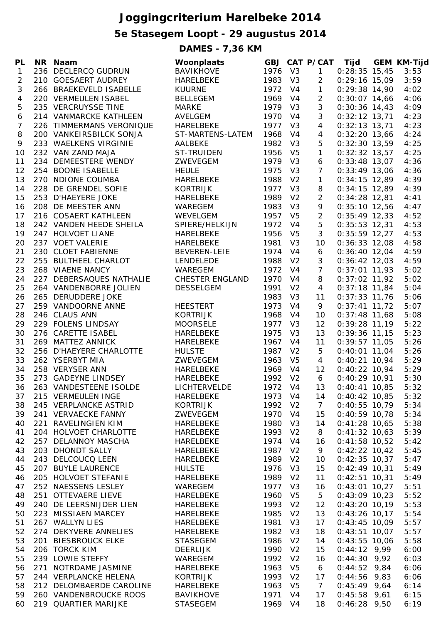## **Joggingcriterium Harelbeke 2014**

## **5e Stasegem Loopt - 29 augustus 2014**

**DAMES - 7,36 KM**

| <b>PL</b>      | NR Naam                  | Woonplaats             |         |                | GBJ CAT P/CAT Tijd |                 | <b>GEM KM-Tijd</b> |
|----------------|--------------------------|------------------------|---------|----------------|--------------------|-----------------|--------------------|
| $\mathbf{1}$   | 236 DECLERCQ GUDRUN      | <b>BAVIKHOVE</b>       | 1976 V3 |                | $\mathbf{1}$       | $0:28:35$ 15,45 | 3:53               |
| $\overline{2}$ | 210 GOESAERT AUDREY      | HARELBEKE              | 1983    | V3             | $\overline{2}$     | $0:29:16$ 15,09 | 3:59               |
| 3              | 266 BRAEKEVELD ISABELLE  | <b>KUURNE</b>          | 1972    | V <sub>4</sub> | $\mathbf{1}$       | $0:29:38$ 14,90 | 4:02               |
| $\overline{4}$ | 220 VERMEULEN ISABEL     | <b>BELLEGEM</b>        | 1969 V4 |                | $\overline{2}$     | $0:30:07$ 14,66 | 4:06               |
| 5              | 235 VERCRUYSSE TINE      | <b>MARKE</b>           | 1979 V3 |                | 3                  | $0:30:36$ 14,43 | 4:09               |
| 6              | 214 VANMARCKE KATHLEEN   | <b>AVELGEM</b>         | 1970    | V <sub>4</sub> | $\mathfrak{Z}$     | $0:32:12$ 13,71 | 4:23               |
| 7              | 226 TIMMERMANS VERONIQUE | HARELBEKE              | 1977 V3 |                | $\overline{4}$     | $0:32:13$ 13,71 | 4:23               |
| 8              | 200 VANKEIRSBILCK SONJA  | ST-MARTENS-LATEM       | 1968    | V <sub>4</sub> | $\overline{4}$     | $0:32:20$ 13,66 | 4:24               |
| 9              | 233 WAELKENS VIRGINIE    | AALBEKE                | 1982    | V3             | 5                  | $0:32:30$ 13,59 | 4:25               |
| 10             | 232 VAN ZAND MAJA        | <b>ST-TRUIDEN</b>      | 1956    | V <sub>5</sub> | $\mathbf{1}$       | $0:32:32$ 13,57 | 4:25               |
| 11             | 234 DEMEESTERE WENDY     | ZWEVEGEM               | 1979 V3 |                | 6                  | $0:33:48$ 13,07 | 4:36               |
| 12             | 254 BOONE ISABELLE       | <b>HEULE</b>           | 1975    | V3             | $\overline{7}$     | $0:33:49$ 13,06 | 4:36               |
| 13             | 270 NDIONE COUMBA        | HARELBEKE              | 1988    | V <sub>2</sub> | $\mathbf{1}$       | $0:34:15$ 12,89 | 4:39               |
| 14             | 228 DE GRENDEL SOFIE     | <b>KORTRIJK</b>        | 1977    | V3             | 8                  | $0:34:15$ 12,89 | 4:39               |
| 15             | 253 D'HAEYERE JOKE       | HARELBEKE              | 1989    | V <sub>2</sub> | $\overline{2}$     | $0:34:28$ 12,81 | 4:41               |
| 16             | 208 DE MEESTER ANN       | WAREGEM                | 1983    | V <sub>3</sub> | 9                  | $0:35:10$ 12,56 | 4:47               |
| 17             | 216 COSAERT KATHLEEN     | WEVELGEM               | 1957    | V <sub>5</sub> | $\overline{2}$     | $0:35:49$ 12,33 | 4:52               |
| 18             | 242 VANDEN HEEDE SHEILA  | SPIERE/HELKIJN         | 1972    | V <sub>4</sub> | 5                  | $0:35:53$ 12,31 | 4:53               |
| 19             | 247 HOLVOET LIANE        | <b>HARELBEKE</b>       | 1956    | V <sub>5</sub> | 3                  | $0:35:59$ 12,27 | 4:53               |
| 20             | 237 VOET VALERIE         | <b>HARELBEKE</b>       | 1981    | V <sub>3</sub> | 10                 | $0:36:33$ 12,08 | 4:58               |
| 21             | 230 CLOET FABIENNE       | BEVEREN-LEIE           | 1974    | V <sub>4</sub> | 6                  | $0:36:40$ 12,04 | 4:59               |
| 22             | 255 BULTHEEL CHARLOT     | LENDELEDE              | 1988    | V <sub>2</sub> | 3                  | $0:36:42$ 12,03 | 4:59               |
| 23             | 268 VIAENE NANCY         | WAREGEM                | 1972    | V <sub>4</sub> | $\overline{7}$     | $0:37:01$ 11,93 | 5:02               |
| 24             | 227 DEBERSAQUES NATHALIE | <b>CHESTER ENGLAND</b> | 1970    | V <sub>4</sub> | 8                  | $0:37:02$ 11,92 | 5:02               |
|                |                          |                        | 1991    | V <sub>2</sub> | $\overline{4}$     |                 | 5:04               |
| 25             | 264 VANDENBORRE JOLIEN   | <b>DESSELGEM</b>       |         |                |                    | $0:37:18$ 11,84 |                    |
| 26             | 265 DERUDDERE JOKE       |                        | 1983    | V <sub>3</sub> | 11                 | $0:37:33$ 11,76 | 5:06               |
| 27             | 259 VANDOORNE ANNE       | <b>HEESTERT</b>        | 1973    | V4             | 9                  | $0:37:41$ 11,72 | 5:07               |
| 28             | 246 CLAUS ANN            | <b>KORTRIJK</b>        | 1968    | V4             | 10                 | $0:37:48$ 11,68 | 5:08               |
| 29             | 229 FOLENS LINDSAY       | <b>MOORSELE</b>        | 1977    | V <sub>3</sub> | 12                 | $0:39:28$ 11,19 | 5:22               |
| 30             | 276 CARETTE ISABEL       | HARELBEKE              | 1975    | V3             | 13                 | $0:39:36$ 11,15 | 5:23               |
| 31             | 269 MATTEZ ANNICK        | HARELBEKE              | 1967    | V <sub>4</sub> | 11                 | $0:39:57$ 11,05 | 5:26               |
| 32             | 256 D'HAEYERE CHARLOTTE  | <b>HULSTE</b>          | 1987    | V <sub>2</sub> | 5                  | $0:40:01$ 11,04 | 5:26               |
| 33             | 262 YSERBYT MIA          | ZWEVEGEM               | 1963    | V <sub>5</sub> | $\overline{4}$     | $0:40:21$ 10,94 | 5:29               |
| 34             | 258 VERYSER ANN          | HARELBEKE              | 1969 V4 |                | 12                 | $0:40:22$ 10,94 | 5:29               |
| 35             | 273 GADEYNE LINDSEY      | HARELBEKE              | 1992    | V <sub>2</sub> | 6                  | $0:40:29$ 10,91 | 5:30               |
| 36             | 263 VANDESTEENE ISOLDE   | <b>LICHTERVELDE</b>    | 1972    | $V_4$          | 13                 | $0:40:41$ 10,85 | 5:32               |
| 37             | 215 VERMEULEN INGE       | HARELBEKE              | 1973 V4 |                | 14                 | $0:40:42$ 10,85 | 5:32               |
| 38             | 245 VERPLANCKE ASTRID    | <b>KORTRIJK</b>        | 1992    | V <sub>2</sub> | $\mathcal{I}$      | $0:40:55$ 10,79 | 5:34               |
| 39             | 241 VERVAECKE FANNY      | ZWEVEGEM               | 1970    | V <sub>4</sub> | 15                 | $0:40:59$ 10,78 | 5:34               |
| 40             | 221 RAVELINGIEN KIM      | <b>HARELBEKE</b>       | 1980    | V <sub>3</sub> | 14                 | $0:41:28$ 10,65 | 5:38               |
| 41             | 204 HOLVOET CHARLOTTE    | <b>HARELBEKE</b>       | 1993    | V <sub>2</sub> | 8                  | $0:41:32$ 10,63 | 5:39               |
| 42             | 257 DELANNOY MASCHA      | HARELBEKE              | 1974    | V <sub>4</sub> | 16                 | $0:41:58$ 10,52 | 5:42               |
| 43             | 203 DHONDT SALLY         | HARELBEKE              | 1987    | V <sub>2</sub> | 9                  | $0:42:22$ 10,42 | 5:45               |
| 44             | 243 DELCOUCQ LEEN        | HARELBEKE              | 1989    | V <sub>2</sub> | 10                 | $0:42:35$ 10,37 | 5:47               |
| 45             | 207 BUYLE LAURENCE       | <b>HULSTE</b>          | 1976    | V <sub>3</sub> | 15                 | $0:42:49$ 10,31 | 5:49               |
| 46             | 205 HOLVOET STEFANIE     | <b>HARELBEKE</b>       | 1989    | V <sub>2</sub> | 11                 | $0:42:51$ 10,31 | 5:49               |
| 47             | 252 NAESSENS LESLEY      | WAREGEM                | 1977    | V3             | 16                 | $0:43:01$ 10,27 | 5:51               |
| 48             | 251 OTTEVAERE LIEVE      | HARELBEKE              | 1960    | V <sub>5</sub> | 5                  | $0:43:09$ 10,23 | 5:52               |
| 49             | 240 DE LEERSNIJDER LIEN  | HARELBEKE              | 1993    | V <sub>2</sub> | 12                 | $0:43:20$ 10,19 | 5:53               |
| 50             | 223 MISSIAEN MARCEY      | HARELBEKE              | 1985    | V <sub>2</sub> | 13                 | $0:43:26$ 10,17 | 5:54               |
| 51             | 267 WALLYN LIES          | <b>HARELBEKE</b>       | 1981    | V <sub>3</sub> | 17                 | $0:43:45$ 10,09 | 5:57               |
| 52             | 274 DEKYVERE ANNELIES    | HARELBEKE              | 1982    | V <sub>3</sub> | 18                 | $0:43:51$ 10,07 | 5:57               |
| 53             | 201 BIESBROUCK ELKE      | <b>STASEGEM</b>        | 1986    | V <sub>2</sub> | 14                 | $0:43:55$ 10,06 | 5:58               |
| 54             | 206 TORCK KIM            | <b>DEERLIJK</b>        | 1990    | V <sub>2</sub> | 15                 | $0:44:12$ 9,99  | 6:00               |
| 55             | 239 LOWIE STEFFY         | WAREGEM                | 1992    | V <sub>2</sub> | 16                 | $0:44:30$ 9,92  | 6:03               |
| 56             | 271 NOTRDAME JASMINE     | HARELBEKE              | 1963    | V <sub>5</sub> | 6                  | $0:44:52$ 9,84  | 6:06               |
| 57             | 244 VERPLANCKE HELENA    | <b>KORTRIJK</b>        | 1993    | V <sub>2</sub> | 17                 | $0:44:56$ 9,83  | 6:06               |
| 58             | 212 DELOMBAERDE CAROLINE | HARELBEKE              | 1963    | V <sub>5</sub> | $\overline{7}$     | $0:45:49$ 9,64  | 6:14               |
| 59             | 260 VANDENBROUCKE ROOS   | <b>BAVIKHOVE</b>       | 1971    | V4             | 17                 | $0:45:58$ 9,61  | 6:15               |
| 60             | 219 QUARTIER MARIJKE     | <b>STASEGEM</b>        | 1969    | V <sub>4</sub> | 18                 | $0:46:28$ 9,50  | 6:19               |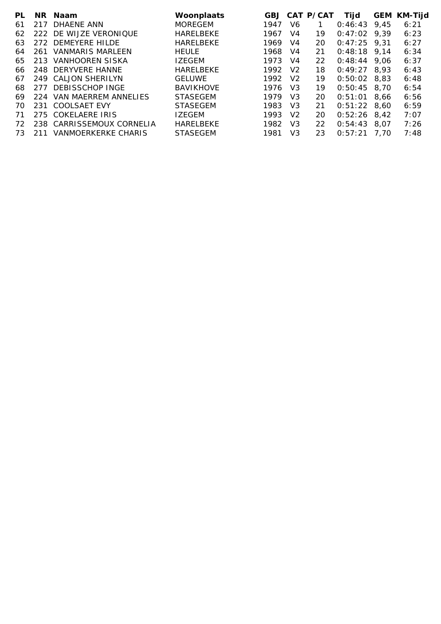| PL. |     | NR Naam                    | Woonplaats       |      |                | GBJ CAT P/CAT | Tijd           |      | <b>GEM KM-Tijd</b> |
|-----|-----|----------------------------|------------------|------|----------------|---------------|----------------|------|--------------------|
| 61  | 217 | DHAENE ANN                 | <b>MOREGEM</b>   | 1947 | V6             |               | 0:46:43        | 9,45 | 6:21               |
| 62  |     | 222 DE WIJZE VERONIQUE     | <b>HARELBEKE</b> | 1967 | V4             | 19            | 0:47:02        | 9.39 | 6:23               |
| 63  |     | 272 DEMEYERE HILDE         | <b>HARELBEKE</b> | 1969 | V4             | 20            | $0:47:25$ 9.31 |      | 6:27               |
| 64  | 261 | <b>VANMARIS MARLEEN</b>    | <b>HEULE</b>     | 1968 | V4             | 21            | $0:48:18$ 9.14 |      | 6:34               |
| 65  | 213 | VANHOOREN SISKA            | <b>IZEGEM</b>    | 1973 | V4             | 22            | 0:48:44        | 9.06 | 6:37               |
| 66. |     | 248 DERYVERE HANNE         | <b>HARELBEKE</b> | 1992 | V <sub>2</sub> | 18            | 0:49:27        | 8.93 | 6:43               |
| 67  |     | 249 CALJON SHERILYN        | <b>GELUWE</b>    | 1992 | V <sub>2</sub> | 19            | 0:50:02        | 8.83 | 6:48               |
| 68. | 277 | DEBISSCHOP INGE            | <b>BAVIKHOVE</b> | 1976 | V <sub>3</sub> | 19            | $0:50:45$ 8,70 |      | 6:54               |
| 69  | 224 | VAN MAERREM ANNELIES       | <b>STASEGEM</b>  | 1979 | V3             | 20            | 0:51:01        | 8.66 | 6:56               |
| 70. | 231 | <b>COOLSAET EVY</b>        | <b>STASEGEM</b>  | 1983 | V3             | 21            | $0:51:22$ 8,60 |      | 6:59               |
| 71  |     | 275 COKELAERE IRIS         | <b>IZEGEM</b>    | 1993 | V <sub>2</sub> | 20            | 0:52:26        | 8.42 | 7:07               |
| 72. |     | 238 CARRISSEMOUX CORNELIA  | HARELBEKE        | 1982 | V3             | 22            | 0:54:43        | 8.07 | 7:26               |
| 73. | 211 | <b>VANMOERKERKE CHARIS</b> | <b>STASEGEM</b>  | 1981 | V3             | 23            | 0:57:21        | 7.70 | 7:48               |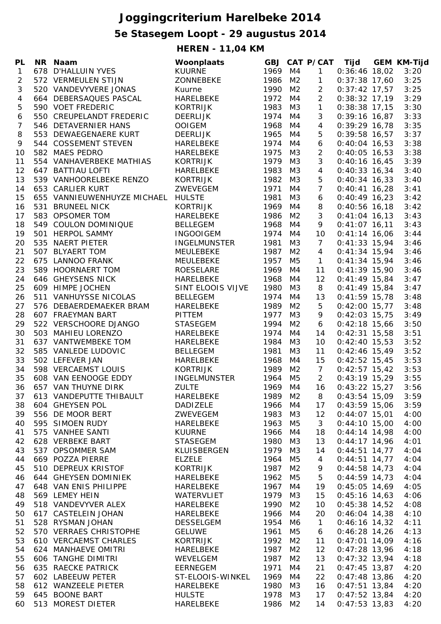## **Joggingcriterium Harelbeke 2014**

## **5e Stasegem Loopt - 29 augustus 2014**

**HEREN - 11,04 KM**

|  | PL NR Naam         |  |
|--|--------------------|--|
|  | 1 678 D'HALLUIN YV |  |

| PL               |     | NR Naam                     | Woonplaats          |              |                | <b>GBJ CAT P/CAT</b> | Tijd            | <b>GEM KM-Tijd</b> |
|------------------|-----|-----------------------------|---------------------|--------------|----------------|----------------------|-----------------|--------------------|
| $\mathbf{1}$     |     | 678 D'HALLUIN YVES          | <b>KUURNE</b>       | 1969         | M4             | $\mathbf{1}$         | $0:36:46$ 18,02 | 3:20               |
| 2                |     | 572 VERMEULEN STIJN         | ZONNEBEKE           | 1986         | M <sub>2</sub> | $\mathbf{1}$         | $0:37:38$ 17,60 | 3:25               |
| 3                |     | 520 VANDEVYVERE JONAS       | Kuurne              | 1990         | M2             | $\overline{a}$       | $0:37:42$ 17,57 | 3:25               |
| 4                |     | 664 DEBERSAQUES PASCAL      | HARELBEKE           | 1972         | M4             | $\overline{2}$       | $0:38:32$ 17,19 | 3:29               |
| 5                |     | 590 VOET FREDERIC           | <b>KORTRIJK</b>     | 1983         | M3             | $\mathbf{1}$         | $0:38:38$ 17,15 | 3:30               |
| 6                |     | 550 CREUPELANDT FREDERIC    | <b>DEERLIJK</b>     | 1974         | M4             | 3                    | $0:39:16$ 16,87 | 3:33               |
| $\boldsymbol{7}$ |     | 546 DETAVERNIER HANS        | <b>OOIGEM</b>       | 1968         | M4             | $\overline{4}$       | $0:39:29$ 16,78 | 3:35               |
| 8                |     | 553 DEWAEGENAERE KURT       | <b>DEERLIJK</b>     | 1965         | M4             | 5                    | $0:39:58$ 16,57 | 3:37               |
| 9                |     | 544 COSSEMENT STEVEN        | HARELBEKE           | 1974         | M4             | 6                    | $0:40:04$ 16,53 | 3:38               |
| 10               |     | 582 MAES PEDRO              | HARELBEKE           | 1975         | M3             | $\overline{2}$       | $0:40:05$ 16,53 | 3:38               |
| 11               |     | 554 VANHAVERBEKE MATHIAS    | <b>KORTRIJK</b>     | 1979         | M3             | 3                    | $0:40:16$ 16,45 | 3:39               |
| 12               |     | 647 BATTIAU LOFTI           | HARELBEKE           | 1983         | M3             | $\overline{4}$       | $0:40:33$ 16,34 | 3:40               |
| 13               |     | 539 VANHOORELBEKE RENZO     | <b>KORTRIJK</b>     | 1982         | M3             | 5                    | $0:40:34$ 16,33 | 3:40               |
| 14               |     | 653 CARLIER KURT            | ZWEVEGEM            | 1971         | M4             | $\overline{7}$       | $0:40:41$ 16,28 | 3:41               |
| 15               |     | 655 VANNIEUWENHUYZE MICHAEL | <b>HULSTE</b>       | 1981         | M3             | 6                    | $0:40:49$ 16,23 | 3:42               |
| 16               |     | 531 BRUNEEL NICK            | <b>KORTRIJK</b>     | 1969         | M4             | 8                    | $0:40:56$ 16,18 | 3:42               |
| 17               |     | 583 OPSOMER TOM             | HARELBEKE           | 1986         | M <sub>2</sub> | 3                    | $0:41:04$ 16,13 | 3:43               |
| 18               |     | 549 COULON DOMINIQUE        | <b>BELLEGEM</b>     | 1968         | M4             | 9                    | $0:41:07$ 16,11 | 3:43               |
| 19               |     | 501 HERPOL SAMMY            | <b>INGOOIGEM</b>    | 1974         | M4             | 10                   | $0:41:14$ 16,06 | 3:44               |
| 20               | 535 | NAERT PIETER                | <b>INGELMUNSTER</b> | 1981         | M3             | $\overline{7}$       | $0:41:33$ 15,94 | 3:46               |
|                  |     | 507 BLYAERT TOM             | MEULEBEKE           | 1987         | M2             | $\overline{4}$       | $0:41:34$ 15,94 | 3:46               |
| 21               |     |                             | MEULEBEKE           |              |                |                      |                 |                    |
| 22               |     | 675 LANNOO FRANK            |                     | 1957<br>1969 | M5             | $\mathbf{1}$         | $0:41:34$ 15,94 | 3:46               |
| 23               |     | 589 HOORNAERT TOM           | <b>ROESELARE</b>    |              | M4             | 11                   | $0:41:39$ 15,90 | 3:46               |
| 24               |     | 646 GHEYSENS NICK           | HARELBEKE           | 1968         | M4             | 12                   | $0:41:49$ 15,84 | 3:47               |
| 25               |     | 609 HIMPE JOCHEN            | SINT ELOOIS VIJVE   | 1980         | M3             | 8                    | $0:41:49$ 15,84 | 3:47               |
| 26               |     | 511 VANHUYSSE NICOLAS       | <b>BELLEGEM</b>     | 1974         | M4             | 13                   | $0:41:59$ 15,78 | 3:48               |
| 27               |     | 576 DEBAERDEMAEKER BRAM     | HARELBEKE           | 1989         | M2             | 5                    | $0:42:00$ 15,77 | 3:48               |
| 28               |     | 607 FRAEYMAN BART           | <b>PITTEM</b>       | 1977         | M3             | 9                    | $0:42:03$ 15,75 | 3:49               |
| 29               |     | 522 VERSCHOORE DJANGO       | STASEGEM            | 1994         | M2             | 6                    | $0:42:18$ 15,66 | 3:50               |
| 30               |     | 503 MAHIEU LORENZO          | HARELBEKE           | 1974         | M4             | 14                   | $0:42:31$ 15,58 | 3:51               |
| 31               |     | 637 VANTWEMBEKE TOM         | HARELBEKE           | 1984         | M3             | 10                   | $0:42:40$ 15,53 | 3:52               |
| 32               |     | 585 VANLEDE LUDOVIC         | <b>BELLEGEM</b>     | 1981         | M3             | 11                   | $0:42:46$ 15,49 | 3:52               |
| 33               |     | 502 LEFEVER JAN             | HARELBEKE           | 1968         | M4             | 15                   | $0:42:52$ 15,45 | 3:53               |
| 34               |     | 598 VERCAEMST LOUIS         | <b>KORTRIJK</b>     | 1989         | M2             | $\overline{7}$       | $0:42:57$ 15,42 | 3:53               |
| 35               |     | 608 VAN EENOOGE EDDY        | <b>INGELMUNSTER</b> | 1964         | M <sub>5</sub> | $\overline{2}$       | $0:43:19$ 15,29 | 3:55               |
| 36               |     | 657 VAN THUYNE DIRK         | <b>ZULTE</b>        | 1969 M4      |                | 16                   | $0:43:22$ 15,27 | 3:56               |
| 37               |     | 613 VANDEPUTTE THIBAULT     | HARELBEKE           | 1989 M2      |                | 8                    | $0:43:54$ 15,09 | 3:59               |
| 38               |     | 604 GHEYSEN POL             | DADIZELE            | 1966 M4      |                | 17                   | $0:43:59$ 15,06 | 3:59               |
| 39               |     | 556 DE MOOR BERT            | ZWEVEGEM            | 1983 M3      |                | 12                   | $0:44:07$ 15,01 | 4:00               |
| 40               |     | 595 SIMOEN RUDY             | HARELBEKE           | 1963 M5      |                | $\mathbf{3}$         | $0:44:10$ 15,00 | 4:00               |
| 41               |     | 575 VANHEE SANTI            | <b>KUURNE</b>       | 1966 M4      |                | 18                   | $0:44:14$ 14,98 | 4:00               |
| 42               |     | 628 VERBEKE BART            | <b>STASEGEM</b>     | 1980 M3      |                | 13                   | $0:44:17$ 14,96 | 4:01               |
| 43               |     | 537 OPSOMMER SAM            | KLUISBERGEN         | 1979 M3      |                | 14                   | $0:44:51$ 14,77 | 4:04               |
| 44               |     | 669 POZZA PIERRE            | <b>ELZELE</b>       | 1964 M5      |                | $\overline{4}$       | $0:44:51$ 14,77 | 4:04               |
| 45               |     | 510 DEPREUX KRISTOF         | KORTRIJK            | 1987 M2      |                | 9                    | $0:44:58$ 14,73 | 4:04               |
| 46               |     | 644 GHEYSEN DOMINIEK        | HARELBEKE           | 1962 M5      |                | 5                    | $0:44:59$ 14,73 | 4:04               |
| 47               |     | 648 VAN ENIS PHILIPPE       | HARELBEKE           | 1967 M4      |                | 19                   | $0:45:05$ 14,69 | 4:05               |
| 48               |     | 569 LEMEY HEIN              | WATERVLIET          | 1979 M3      |                | 15                   | $0:45:16$ 14,63 | 4:06               |
| 49               |     | 518 VANDEVYVER ALEX         | HARELBEKE           | 1990         | M <sub>2</sub> | 10                   | $0:45:38$ 14,52 | 4:08               |
| 50               |     | 617 CASTELEIN JOHAN         | HARELBEKE           | 1966         | M4             | 20                   | $0:46:04$ 14,38 | 4:10               |
| 51               |     | 528 RYSMAN JOHAN            | <b>DESSELGEM</b>    | 1954         | M6             | $\mathbf{1}$         | $0:46:16$ 14,32 | 4:11               |
| 52               |     | 570 VERRAES CHRISTOPHE      | <b>GELUWE</b>       | 1961         | M5             | 6                    | $0:46:28$ 14,26 | 4:13               |
| 53               |     | 610 VERCAEMST CHARLES       | <b>KORTRIJK</b>     | 1992         | M2             | 11                   | $0:47:01$ 14,09 | 4:16               |
| 54               |     | 624 MANHAEVE OMITRI         | HARELBEKE           | 1987         | M2             | 12                   | $0:47:28$ 13,96 | 4:18               |
| 55               |     | 606 TANGHE DIMITRI          | WEVELGEM            | 1987         | M2             | 13                   | $0:47:32$ 13,94 | 4:18               |
| 56               |     | 635 RAECKE PATRICK          | <b>EERNEGEM</b>     | 1971         | M4             | 21                   | $0:47:45$ 13,87 | 4:20               |
| 57               |     | 602 LABEEUW PETER           | ST-ELOOIS-WINKEL    | 1969         | M4             | 22                   | $0:47:48$ 13,86 | 4:20               |
| 58               |     | 612 WANZEELE PIETER         | HARELBEKE           | 1980 M3      |                | 16                   | $0:47:51$ 13,84 | 4:20               |
| 59               |     | 645 BOONE BART              | <b>HULSTE</b>       | 1978         | M3             | 17                   | $0:47:52$ 13,84 | 4:20               |
| 60               |     | 513 MOREST DIETER           | HARELBEKE           | 1986         | M2             | 14                   | $0:47:53$ 13,83 | 4:20               |
|                  |     |                             |                     |              |                |                      |                 |                    |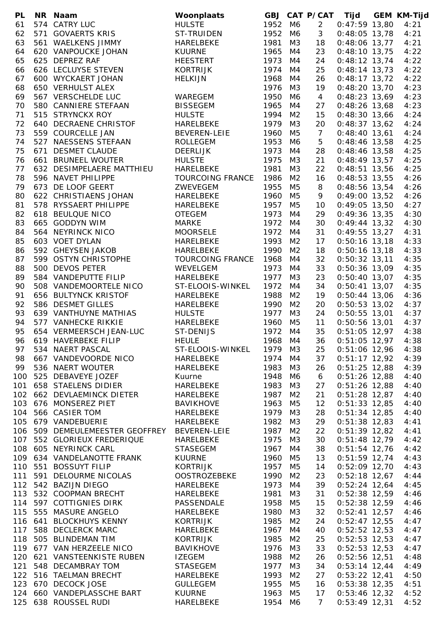| PL  | NR Naam                                  | Woonplaats              |      |                | <b>GBJ CAT P/CAT</b> | Tijd            | <b>GEM KM-Tijd</b> |
|-----|------------------------------------------|-------------------------|------|----------------|----------------------|-----------------|--------------------|
| 61  | 574 CATRY LUC                            | <b>HULSTE</b>           | 1952 | M6             | $\overline{2}$       | $0:47:59$ 13,80 | 4:21               |
| 62  | 571 GOVAERTS KRIS                        | <b>ST-TRUIDEN</b>       | 1952 | M6             | 3                    | $0:48:05$ 13,78 | 4:21               |
| 63  | 561 WAELKENS JIMMY                       | HARELBEKE               | 1981 | M3             | 18                   | $0:48:06$ 13,77 | 4:21               |
| 64  | 620 VANPOUCKE JOHAN                      | <b>KUURNE</b>           | 1965 | M4             | 23                   | $0:48:10$ 13,75 | 4:22               |
| 65  | 625 DEPREZ RAF                           | <b>HEESTERT</b>         | 1973 | M4             | 24                   | $0:48:12$ 13,74 | 4:22               |
| 66  | 626 LECLUYSE STEVEN                      | <b>KORTRIJK</b>         | 1974 | M4             | 25                   | $0:48:14$ 13,73 | 4:22               |
| 67  | 600 WYCKAERT JOHAN                       | <b>HELKIJN</b>          | 1968 | M4             | 26                   | $0:48:17$ 13,72 | 4:22               |
| 68  | 650 VERHULST ALEX                        |                         | 1976 | M3             | 19                   | $0:48:20$ 13,70 | 4:23               |
| 69  | 567 VERSCHELDE LUC                       | WAREGEM                 | 1950 | M6             | $\overline{4}$       | $0:48:23$ 13,69 | 4:23               |
| 70  | 580 CANNIERE STEFAAN                     | <b>BISSEGEM</b>         | 1965 | M4             | 27                   | $0:48:26$ 13,68 | 4:23               |
| 71  | 515 STRYNCKX ROY                         | <b>HULSTE</b>           | 1994 | M <sub>2</sub> | 15                   | $0:48:30$ 13,66 | 4:24               |
| 72  | 640 DECRAENE CHRISTOF                    | HARELBEKE               | 1979 | M3             | 20                   | $0:48:37$ 13,62 | 4:24               |
| 73  | 559 COURCELLE JAN                        | BEVEREN-LEIE            | 1960 | M <sub>5</sub> | $7\overline{ }$      | $0:48:40$ 13,61 | 4:24               |
| 74  | 527 NAESSENS STEFAAN                     | <b>ROLLEGEM</b>         | 1953 | M6             | 5                    | $0:48:46$ 13,58 | 4:25               |
| 75  | 671 DESMET CLAUDE                        | <b>DEERLIJK</b>         | 1973 | M4             | 28                   | $0:48:46$ 13,58 | 4:25               |
| 76  | 661 BRUNEEL WOUTER                       | <b>HULSTE</b>           | 1975 | M3             | 21                   | $0:48:49$ 13,57 | 4:25               |
| 77  | 632 DESIMPELAERE MATTHIEU                | <b>HARELBEKE</b>        | 1981 | M3             | 22                   | $0:48:51$ 13,56 | 4:25               |
| 78  | 596 NAVET PHILIPPE                       | <b>TOURCOING FRANCE</b> | 1986 | M <sub>2</sub> | 16                   | $0:48:53$ 13,55 | 4:26               |
| 79  |                                          | ZWEVEGEM                | 1955 | M <sub>5</sub> | 8                    |                 | 4:26               |
|     | 673 DE LOOF GEERT                        |                         |      |                |                      | $0:48:56$ 13,54 |                    |
| 80  | 622 CHRISTIAENS JOHAN                    | HARELBEKE               | 1960 | M <sub>5</sub> | 9                    | $0:49:00$ 13,52 | 4:26               |
| 81  | 578 RYSSAERT PHILIPPE                    | HARELBEKE               | 1957 | M <sub>5</sub> | 10                   | $0:49:05$ 13,50 | 4:27               |
| 82  | 618 BEULQUE NICO                         | <b>OTEGEM</b>           | 1973 | M4             | 29                   | $0:49:36$ 13,35 | 4:30               |
| 83  | 665 GODDYN WIM                           | <b>MARKE</b>            | 1972 | M4             | 30                   | $0:49:44$ 13,32 | 4:30               |
| 84  | 564 NEYRINCK NICO                        | <b>MOORSELE</b>         | 1972 | M4             | 31                   | $0:49:55$ 13,27 | 4:31               |
| 85  | 603 VOET DYLAN                           | HARELBEKE               | 1993 | M <sub>2</sub> | 17                   | $0:50:16$ 13,18 | 4:33               |
| 86  | 592 GHEYSEN JAKOB                        | HARELBEKE               | 1990 | M <sub>2</sub> | 18                   | $0:50:16$ 13,18 | 4:33               |
| 87  | 599 OSTYN CHRISTOPHE                     | <b>TOURCOING FRANCE</b> | 1968 | M4             | 32                   | $0:50:32$ 13,11 | 4:35               |
| 88  | 500 DEVOS PETER                          | WEVELGEM                | 1973 | M4             | 33                   | $0:50:36$ 13,09 | 4:35               |
| 89  | 584 VANDEPUTTE FILIP                     | HARELBEKE               | 1977 | M <sub>3</sub> | 23                   | $0:50:40$ 13,07 | 4:35               |
| 90  | 508 VANDEMOORTELE NICO                   | ST-ELOOIS-WINKEL        | 1972 | M4             | 34                   | $0:50:41$ 13,07 | 4:35               |
| 91  | 656 BULTYNCK KRISTOF                     | HARELBEKE               | 1988 | M2             | 19                   | $0:50:44$ 13,06 | 4:36               |
| 92  | 586 DESMET GILLES                        | <b>HARELBEKE</b>        | 1990 | M <sub>2</sub> | 20                   | $0:50:53$ 13,02 | 4:37               |
| 93  | 639 VANTHUYNE MATHIAS                    | <b>HULSTE</b>           | 1977 | M3             | 24                   | $0:50:55$ 13,01 | 4:37               |
| 94  | 577 VANHECKE RIKKIE                      | HARELBEKE               | 1960 | M <sub>5</sub> | 11                   | $0:50:56$ 13,01 | 4:37               |
| 95  | 654 VERMEERSCH JEAN-LUC                  | <b>ST-DENIJS</b>        | 1972 | M4             | 35                   | $0:51:05$ 12,97 | 4:38               |
| 96  | 619 HAVERBEKE FILIP                      | <b>HEULE</b>            | 1968 | M4             | 36                   | $0:51:05$ 12,97 | 4:38               |
| 97  | 534 NAERT PASCAL                         | ST-ELOOIS-WINKEL        | 1979 | M3             | 25                   | $0:51:06$ 12,96 | 4:38               |
| 98  | 667 VANDEVOORDE NICO                     | HARELBEKE               | 1974 | M4             | 37                   | $0:51:17$ 12,92 | 4:39               |
| 99  | 536 NAERT WOUTER                         | HARELBEKE               | 1983 | M3             | 26                   | $0:51:25$ 12,88 | 4:39               |
| 100 | 525 DEBAVEYE JOZEF                       | Kuurne                  | 1948 | M6             | 6                    | $0:51:26$ 12,88 | 4:40               |
| 101 | 658 STAELENS DIDIER                      | HARELBEKE               | 1983 | M3             | 27                   | $0:51:26$ 12,88 | 4:40               |
| 102 | 662 DEVLAEMINCK DIETER                   | HARELBEKE               | 1987 | M <sub>2</sub> | 21                   | $0:51:28$ 12,87 | 4:40               |
| 103 | 676 MONSEREZ PIET                        | <b>BAVIKHOVE</b>        | 1963 | M5             | $12 \overline{ }$    | $0:51:33$ 12,85 | 4:40               |
| 104 | 566 CASIER TOM                           | HARELBEKE               | 1979 | M3             | 28                   | $0:51:34$ 12,85 | 4:40               |
| 105 | 679 VANDEBUERIE                          | HARELBEKE               | 1982 | M3             | 29                   | $0:51:38$ 12,83 | 4:41               |
| 106 | 509 DEMEULEMEESTER GEOFFREY BEVEREN-LEIE |                         | 1987 | M <sub>2</sub> | 22                   | $0:51:39$ 12,82 | 4:41               |
| 107 | 552 GLORIEUX FREDERIQUE                  | HARELBEKE               | 1975 | M3             | 30                   | $0:51:48$ 12,79 | 4:42               |
| 108 | 605 NEYRINCK CARL                        | <b>STASEGEM</b>         | 1967 | M4             | 38                   | $0:51:54$ 12,76 | 4:42               |
|     | 109 634 VANDELANOTTE FRANK               | <b>KUURNE</b>           | 1960 | M5             | 13                   | $0:51:59$ 12,74 | 4:43               |
|     | 110 551 BOSSUYT FILIP                    | <b>KORTRIJK</b>         | 1957 | M5             | 14                   | $0:52:09$ 12,70 | 4:43               |
| 111 | 591 DELOURME NICOLAS                     | <b>OOSTROZEBEKE</b>     | 1990 | M <sub>2</sub> | 23                   | $0:52:18$ 12,67 | 4:44               |
|     | 112 542 BAZIJN DIEGO                     | HARELBEKE               | 1973 | M4             | 39                   | $0:52:24$ 12,64 | 4:45               |
| 113 | 532 COOPMAN BRECHT                       | HARELBEKE               | 1981 | M3             | 31                   | $0:52:38$ 12,59 | 4:46               |
|     | 114 597 COTTIGNIES DIRK                  | PASSENDALE              | 1958 | M5             | 15                   | $0:52:38$ 12,59 | 4:46               |
| 115 | 555 MASURE ANGELO                        | HARELBEKE               | 1980 | M3             | 32                   | $0:52:41$ 12,57 | 4:46               |
|     | 116 641 BLOCKHUYS KENNY                  | <b>KORTRIJK</b>         | 1985 | M <sub>2</sub> | 24                   | $0:52:47$ 12,55 | 4:47               |
|     |                                          |                         |      |                |                      |                 |                    |
|     | 117 588 DECLERCK MARC                    | HARELBEKE               | 1967 | M4             | 40                   | $0:52:52$ 12,53 | 4:47               |
| 118 | 505 BLINDEMAN TIM                        | <b>KORTRIJK</b>         | 1985 | M <sub>2</sub> | 25                   | $0:52:53$ 12,53 | 4:47               |
|     | 119 677 VAN HERZEELE NICO                | <b>BAVIKHOVE</b>        | 1976 | M3             | 33                   | $0:52:53$ 12,53 | 4:47               |
|     | 120 621 VANSTEENKISTE RUBEN              | <b>IZEGEM</b>           | 1988 | M <sub>2</sub> | 26                   | $0:52:56$ 12,51 | 4:48               |
|     | 121 548 DECAMBRAY TOM                    | <b>STASEGEM</b>         | 1977 | M3             | 34                   | $0:53:14$ 12,44 | 4:49               |
|     | 122 516 TAELMAN BRECHT                   | HARELBEKE               | 1993 | M <sub>2</sub> | 27                   | $0:53:22$ 12,41 | 4:50               |
| 123 | 670 DECOCK JOSE                          | <b>GULLEGEM</b>         | 1955 | M5             | 16                   | $0:53:38$ 12,35 | 4:51               |
|     | 124 660 VANDEPLASSCHE BART               | <b>KUURNE</b>           | 1963 | M5             | 17                   | $0:53:46$ 12,32 | 4:52               |
|     | 125 638 ROUSSEL RUDI                     | HARELBEKE               | 1954 | M6             | $\overline{7}$       | $0:53:49$ 12,31 | 4:52               |
|     |                                          |                         |      |                |                      |                 |                    |